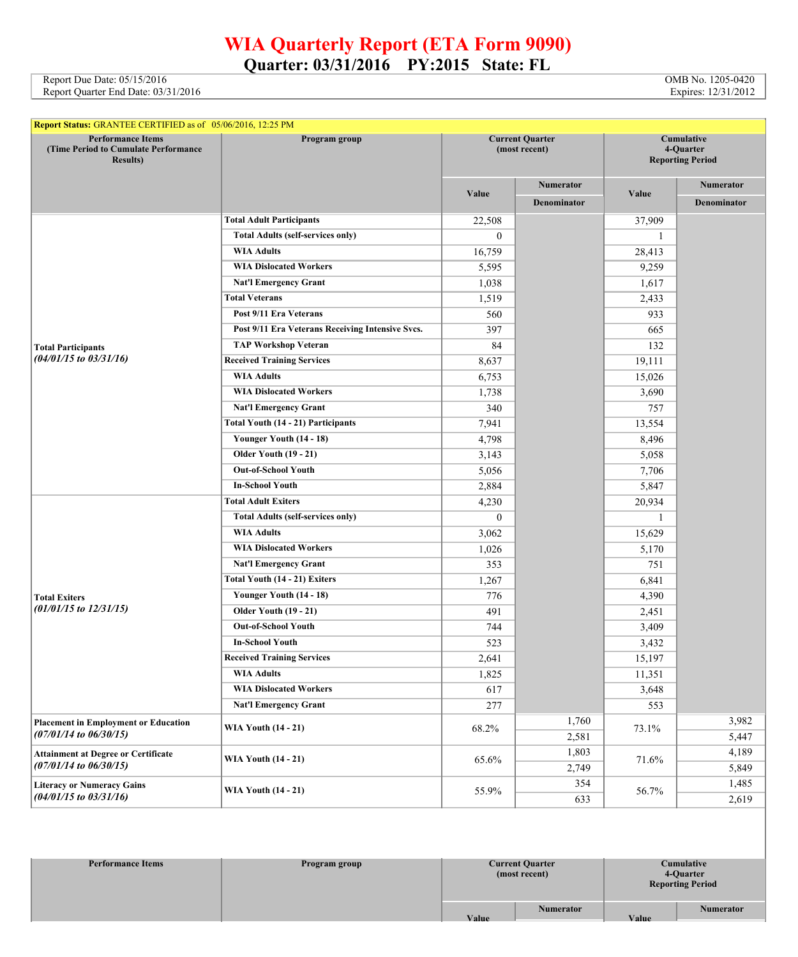## **WIA Quarterly Report (ETA Form 9090) Quarter: 03/31/2016 PY:2015 State: FL**

Report Due Date: 05/15/2016 **OMB No. 1205-0420** OMB No. 1205-0420 Report Quarter End Date: 03/31/2016 Expires: 12/31/2012

| <b>Report Status: GRANTEE CERTIFIED as of 05/06/2016, 12:25 PM</b>                    |                                                  |                                         |                  |                                                    |                  |
|---------------------------------------------------------------------------------------|--------------------------------------------------|-----------------------------------------|------------------|----------------------------------------------------|------------------|
| <b>Performance Items</b><br>(Time Period to Cumulate Performance)<br><b>Results</b> ) | Program group                                    | <b>Current Quarter</b><br>(most recent) |                  | Cumulative<br>4-Quarter<br><b>Reporting Period</b> |                  |
|                                                                                       |                                                  |                                         | <b>Numerator</b> |                                                    | <b>Numerator</b> |
|                                                                                       |                                                  | Value                                   | Denominator      | Value                                              | Denominator      |
|                                                                                       | <b>Total Adult Participants</b>                  | 22,508                                  |                  | 37,909                                             |                  |
|                                                                                       | <b>Total Adults (self-services only)</b>         | $\overline{0}$                          |                  | $\mathbf{1}$                                       |                  |
|                                                                                       | <b>WIA Adults</b>                                | 16,759                                  |                  | 28,413                                             |                  |
|                                                                                       | <b>WIA Dislocated Workers</b>                    | 5,595                                   |                  | 9,259                                              |                  |
|                                                                                       | <b>Nat'l Emergency Grant</b>                     | 1,038                                   |                  | 1,617                                              |                  |
|                                                                                       | <b>Total Veterans</b>                            | 1,519                                   |                  | 2,433                                              |                  |
|                                                                                       | Post 9/11 Era Veterans                           | 560                                     |                  | 933                                                |                  |
|                                                                                       | Post 9/11 Era Veterans Receiving Intensive Svcs. | 397                                     |                  | 665                                                |                  |
| <b>Total Participants</b>                                                             | <b>TAP Workshop Veteran</b>                      | 84                                      |                  | 132                                                |                  |
| $(04/01/15$ to $03/31/16)$                                                            | <b>Received Training Services</b>                | 8,637                                   |                  | 19,111                                             |                  |
|                                                                                       | <b>WIA Adults</b>                                | 6,753                                   |                  | 15,026                                             |                  |
|                                                                                       | <b>WIA Dislocated Workers</b>                    | 1,738                                   |                  | 3,690                                              |                  |
|                                                                                       | <b>Nat'l Emergency Grant</b>                     | 340                                     |                  | 757                                                |                  |
|                                                                                       | Total Youth (14 - 21) Participants               | 7,941                                   |                  | 13,554                                             |                  |
|                                                                                       | Younger Youth (14 - 18)                          | 4,798                                   |                  | 8,496                                              |                  |
|                                                                                       | <b>Older Youth (19 - 21)</b>                     | 3,143                                   |                  | 5,058                                              |                  |
|                                                                                       | <b>Out-of-School Youth</b>                       | 5,056                                   |                  | 7,706                                              |                  |
|                                                                                       | <b>In-School Youth</b>                           | 2,884                                   |                  | 5,847                                              |                  |
|                                                                                       | <b>Total Adult Exiters</b>                       | 4,230                                   |                  | 20,934                                             |                  |
|                                                                                       | <b>Total Adults (self-services only)</b>         | $\overline{0}$                          |                  | $\mathbf{1}$                                       |                  |
|                                                                                       | <b>WIA Adults</b>                                | 3,062                                   |                  | 15,629                                             |                  |
|                                                                                       | <b>WIA Dislocated Workers</b>                    | 1,026                                   |                  | 5,170                                              |                  |
|                                                                                       | <b>Nat'l Emergency Grant</b>                     | 353                                     |                  | 751                                                |                  |
|                                                                                       | Total Youth (14 - 21) Exiters                    | 1,267                                   |                  | 6,841                                              |                  |
| <b>Total Exiters</b><br>$(01/01/15$ to $12/31/15)$                                    | Younger Youth (14 - 18)                          | 776                                     |                  | 4,390                                              |                  |
|                                                                                       | <b>Older Youth (19 - 21)</b>                     | 491                                     |                  | 2,451                                              |                  |
|                                                                                       | <b>Out-of-School Youth</b>                       | 744                                     |                  | 3,409                                              |                  |
|                                                                                       | <b>In-School Youth</b>                           | 523                                     |                  | 3,432                                              |                  |
|                                                                                       | <b>Received Training Services</b>                | 2,641                                   |                  | 15,197                                             |                  |
|                                                                                       | <b>WIA Adults</b>                                | 1,825                                   |                  | 11,351                                             |                  |
|                                                                                       | <b>WIA Dislocated Workers</b>                    | 617                                     |                  | 3,648                                              |                  |
|                                                                                       | <b>Nat'l Emergency Grant</b>                     | 277                                     |                  | 553                                                |                  |
| <b>Placement in Employment or Education</b>                                           | <b>WIA Youth (14 - 21)</b>                       | 68.2%                                   | 1,760            | 73.1%                                              | 3,982            |
| $(07/01/14$ to $06/30/15)$                                                            |                                                  |                                         | 2,581            |                                                    | 5,447            |
| <b>Attainment at Degree or Certificate</b>                                            | <b>WIA Youth (14 - 21)</b>                       | 65.6%                                   | 1,803            | 71.6%                                              | 4,189            |
| $(07/01/14$ to $06/30/15)$                                                            |                                                  |                                         | 2,749            |                                                    | 5,849            |
| <b>Literacy or Numeracy Gains</b>                                                     | <b>WIA Youth (14 - 21)</b>                       | 55.9%                                   | 354              | 56.7%                                              | 1,485            |
| $(04/01/15$ to $03/31/16)$                                                            |                                                  |                                         | 633              |                                                    | 2,619            |

| <b>Performance Items</b> | Program group | <b>Current Quarter</b><br>(most recent) |       | Cumulative<br>4-Quarter<br><b>Reporting Period</b> |  |  |
|--------------------------|---------------|-----------------------------------------|-------|----------------------------------------------------|--|--|
|                          |               | <b>Numerator</b><br><b>Value</b>        | Value | <b>Numerator</b>                                   |  |  |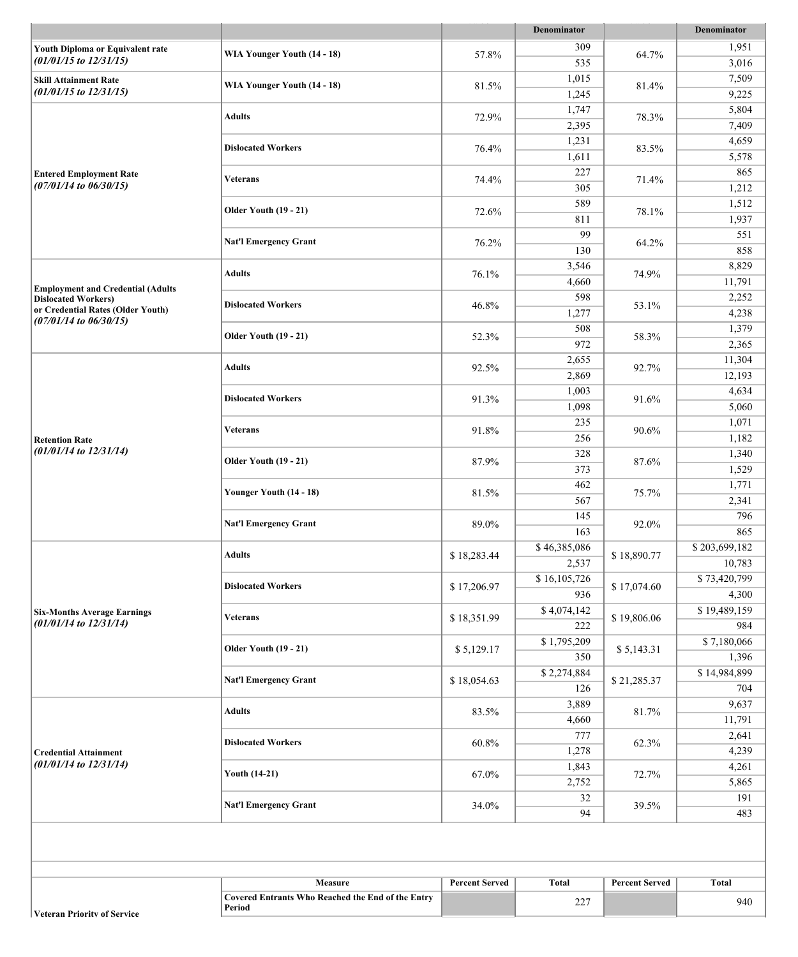| 309<br>1,951<br>Youth Diploma or Equivalent rate<br>WIA Younger Youth (14 - 18)<br>57.8%<br>64.7%<br>$(01/01/15$ to $12/31/15)$<br>535<br>3,016<br>1,015<br>7,509<br><b>Skill Attainment Rate</b><br>WIA Younger Youth (14 - 18)<br>81.5%<br>81.4%<br>$(01/01/15$ to $12/31/15)$<br>1,245<br>9,225<br>1,747<br>5,804<br><b>Adults</b><br>72.9%<br>78.3%<br>2,395<br>7,409<br>1,231<br>4,659<br><b>Dislocated Workers</b><br>76.4%<br>83.5%<br>1,611<br>5,578<br>227<br>865<br><b>Entered Employment Rate</b><br><b>Veterans</b><br>74.4%<br>71.4%<br>$(07/01/14$ to $06/30/15)$<br>305<br>1,212<br>589<br>1,512<br><b>Older Youth (19 - 21)</b><br>72.6%<br>78.1%<br>811<br>1,937<br>99<br>551<br><b>Nat'l Emergency Grant</b><br>76.2%<br>64.2%<br>130<br>858<br>8,829<br>3,546<br><b>Adults</b><br>76.1%<br>74.9%<br>4,660<br>11,791<br><b>Employment and Credential (Adults</b><br>598<br>2,252<br><b>Dislocated Workers)</b><br><b>Dislocated Workers</b><br>46.8%<br>53.1%<br>or Credential Rates (Older Youth)<br>1,277<br>4,238<br>$(07/01/14$ to $06/30/15)$<br>508<br>1,379<br><b>Older Youth (19 - 21)</b><br>52.3%<br>58.3%<br>972<br>2,365<br>2,655<br>11,304<br><b>Adults</b><br>92.5%<br>92.7%<br>2,869<br>12,193<br>4,634<br>1,003<br><b>Dislocated Workers</b><br>91.3%<br>91.6%<br>1,098<br>5,060<br>235<br>1,071<br>Veterans<br>91.8%<br>90.6%<br>256<br>1,182<br><b>Retention Rate</b><br>$(01/01/14$ to $12/31/14)$<br>328<br>1,340<br><b>Older Youth (19 - 21)</b><br>87.9%<br>87.6%<br>373<br>1,529<br>462<br>1,771<br>Younger Youth (14 - 18)<br>81.5%<br>75.7%<br>567<br>2,341<br>145<br>796<br><b>Nat'l Emergency Grant</b><br>89.0%<br>92.0%<br>163<br>865<br>\$46,385,086<br>\$203,699,182<br><b>Adults</b><br>\$18,283.44<br>\$18,890.77<br>2,537<br>10,783<br>$\overline{$}16,105,726$<br>\$73,420,799<br><b>Dislocated Workers</b><br>\$17,206.97<br>\$17,074.60<br>936<br>4,300<br>\$4,074,142<br>\$19,489,159<br><b>Six-Months Average Earnings</b><br>\$19,806.06<br>\$18,351.99<br><b>Veterans</b><br>$(01/01/14$ to $12/31/14)$<br>222<br>984<br>\$7,180,066<br>\$1,795,209<br><b>Older Youth (19 - 21)</b><br>\$5,143.31<br>\$5,129.17<br>350<br>1,396<br>\$14,984,899<br>\$2,274,884<br><b>Nat'l Emergency Grant</b><br>\$18,054.63<br>\$21,285.37<br>126<br>704<br>9,637<br>3,889<br><b>Adults</b><br>83.5%<br>81.7%<br>4,660<br>11,791<br>777<br>2,641<br><b>Dislocated Workers</b><br>60.8%<br>62.3%<br>1,278<br>4,239<br><b>Credential Attainment</b><br>$(01/01/14$ to $12/31/14)$<br>1,843<br>4,261<br><b>Youth (14-21)</b><br>67.0%<br>72.7%<br>2,752<br>5,865<br>32<br>191<br><b>Nat'l Emergency Grant</b><br>34.0%<br>39.5%<br>94<br>483<br>Measure<br><b>Percent Served</b><br><b>Total</b><br><b>Percent Served</b><br><b>Total</b><br><b>Covered Entrants Who Reached the End of the Entry</b><br>227<br>940<br>Period |  |  |  | Denominator |  | Denominator |
|-------------------------------------------------------------------------------------------------------------------------------------------------------------------------------------------------------------------------------------------------------------------------------------------------------------------------------------------------------------------------------------------------------------------------------------------------------------------------------------------------------------------------------------------------------------------------------------------------------------------------------------------------------------------------------------------------------------------------------------------------------------------------------------------------------------------------------------------------------------------------------------------------------------------------------------------------------------------------------------------------------------------------------------------------------------------------------------------------------------------------------------------------------------------------------------------------------------------------------------------------------------------------------------------------------------------------------------------------------------------------------------------------------------------------------------------------------------------------------------------------------------------------------------------------------------------------------------------------------------------------------------------------------------------------------------------------------------------------------------------------------------------------------------------------------------------------------------------------------------------------------------------------------------------------------------------------------------------------------------------------------------------------------------------------------------------------------------------------------------------------------------------------------------------------------------------------------------------------------------------------------------------------------------------------------------------------------------------------------------------------------------------------------------------------------------------------------------------------------------------------------------------------------------------------------------------------------------------------------------------------------------------------------------------------------------------------------------------------------------------------------------------------------------------------------------------------------------------------------------------------|--|--|--|-------------|--|-------------|
|                                                                                                                                                                                                                                                                                                                                                                                                                                                                                                                                                                                                                                                                                                                                                                                                                                                                                                                                                                                                                                                                                                                                                                                                                                                                                                                                                                                                                                                                                                                                                                                                                                                                                                                                                                                                                                                                                                                                                                                                                                                                                                                                                                                                                                                                                                                                                                                                                                                                                                                                                                                                                                                                                                                                                                                                                                                                         |  |  |  |             |  |             |
|                                                                                                                                                                                                                                                                                                                                                                                                                                                                                                                                                                                                                                                                                                                                                                                                                                                                                                                                                                                                                                                                                                                                                                                                                                                                                                                                                                                                                                                                                                                                                                                                                                                                                                                                                                                                                                                                                                                                                                                                                                                                                                                                                                                                                                                                                                                                                                                                                                                                                                                                                                                                                                                                                                                                                                                                                                                                         |  |  |  |             |  |             |
|                                                                                                                                                                                                                                                                                                                                                                                                                                                                                                                                                                                                                                                                                                                                                                                                                                                                                                                                                                                                                                                                                                                                                                                                                                                                                                                                                                                                                                                                                                                                                                                                                                                                                                                                                                                                                                                                                                                                                                                                                                                                                                                                                                                                                                                                                                                                                                                                                                                                                                                                                                                                                                                                                                                                                                                                                                                                         |  |  |  |             |  |             |
|                                                                                                                                                                                                                                                                                                                                                                                                                                                                                                                                                                                                                                                                                                                                                                                                                                                                                                                                                                                                                                                                                                                                                                                                                                                                                                                                                                                                                                                                                                                                                                                                                                                                                                                                                                                                                                                                                                                                                                                                                                                                                                                                                                                                                                                                                                                                                                                                                                                                                                                                                                                                                                                                                                                                                                                                                                                                         |  |  |  |             |  |             |
|                                                                                                                                                                                                                                                                                                                                                                                                                                                                                                                                                                                                                                                                                                                                                                                                                                                                                                                                                                                                                                                                                                                                                                                                                                                                                                                                                                                                                                                                                                                                                                                                                                                                                                                                                                                                                                                                                                                                                                                                                                                                                                                                                                                                                                                                                                                                                                                                                                                                                                                                                                                                                                                                                                                                                                                                                                                                         |  |  |  |             |  |             |
|                                                                                                                                                                                                                                                                                                                                                                                                                                                                                                                                                                                                                                                                                                                                                                                                                                                                                                                                                                                                                                                                                                                                                                                                                                                                                                                                                                                                                                                                                                                                                                                                                                                                                                                                                                                                                                                                                                                                                                                                                                                                                                                                                                                                                                                                                                                                                                                                                                                                                                                                                                                                                                                                                                                                                                                                                                                                         |  |  |  |             |  |             |
|                                                                                                                                                                                                                                                                                                                                                                                                                                                                                                                                                                                                                                                                                                                                                                                                                                                                                                                                                                                                                                                                                                                                                                                                                                                                                                                                                                                                                                                                                                                                                                                                                                                                                                                                                                                                                                                                                                                                                                                                                                                                                                                                                                                                                                                                                                                                                                                                                                                                                                                                                                                                                                                                                                                                                                                                                                                                         |  |  |  |             |  |             |
|                                                                                                                                                                                                                                                                                                                                                                                                                                                                                                                                                                                                                                                                                                                                                                                                                                                                                                                                                                                                                                                                                                                                                                                                                                                                                                                                                                                                                                                                                                                                                                                                                                                                                                                                                                                                                                                                                                                                                                                                                                                                                                                                                                                                                                                                                                                                                                                                                                                                                                                                                                                                                                                                                                                                                                                                                                                                         |  |  |  |             |  |             |
|                                                                                                                                                                                                                                                                                                                                                                                                                                                                                                                                                                                                                                                                                                                                                                                                                                                                                                                                                                                                                                                                                                                                                                                                                                                                                                                                                                                                                                                                                                                                                                                                                                                                                                                                                                                                                                                                                                                                                                                                                                                                                                                                                                                                                                                                                                                                                                                                                                                                                                                                                                                                                                                                                                                                                                                                                                                                         |  |  |  |             |  |             |
|                                                                                                                                                                                                                                                                                                                                                                                                                                                                                                                                                                                                                                                                                                                                                                                                                                                                                                                                                                                                                                                                                                                                                                                                                                                                                                                                                                                                                                                                                                                                                                                                                                                                                                                                                                                                                                                                                                                                                                                                                                                                                                                                                                                                                                                                                                                                                                                                                                                                                                                                                                                                                                                                                                                                                                                                                                                                         |  |  |  |             |  |             |
|                                                                                                                                                                                                                                                                                                                                                                                                                                                                                                                                                                                                                                                                                                                                                                                                                                                                                                                                                                                                                                                                                                                                                                                                                                                                                                                                                                                                                                                                                                                                                                                                                                                                                                                                                                                                                                                                                                                                                                                                                                                                                                                                                                                                                                                                                                                                                                                                                                                                                                                                                                                                                                                                                                                                                                                                                                                                         |  |  |  |             |  |             |
|                                                                                                                                                                                                                                                                                                                                                                                                                                                                                                                                                                                                                                                                                                                                                                                                                                                                                                                                                                                                                                                                                                                                                                                                                                                                                                                                                                                                                                                                                                                                                                                                                                                                                                                                                                                                                                                                                                                                                                                                                                                                                                                                                                                                                                                                                                                                                                                                                                                                                                                                                                                                                                                                                                                                                                                                                                                                         |  |  |  |             |  |             |
|                                                                                                                                                                                                                                                                                                                                                                                                                                                                                                                                                                                                                                                                                                                                                                                                                                                                                                                                                                                                                                                                                                                                                                                                                                                                                                                                                                                                                                                                                                                                                                                                                                                                                                                                                                                                                                                                                                                                                                                                                                                                                                                                                                                                                                                                                                                                                                                                                                                                                                                                                                                                                                                                                                                                                                                                                                                                         |  |  |  |             |  |             |
|                                                                                                                                                                                                                                                                                                                                                                                                                                                                                                                                                                                                                                                                                                                                                                                                                                                                                                                                                                                                                                                                                                                                                                                                                                                                                                                                                                                                                                                                                                                                                                                                                                                                                                                                                                                                                                                                                                                                                                                                                                                                                                                                                                                                                                                                                                                                                                                                                                                                                                                                                                                                                                                                                                                                                                                                                                                                         |  |  |  |             |  |             |
|                                                                                                                                                                                                                                                                                                                                                                                                                                                                                                                                                                                                                                                                                                                                                                                                                                                                                                                                                                                                                                                                                                                                                                                                                                                                                                                                                                                                                                                                                                                                                                                                                                                                                                                                                                                                                                                                                                                                                                                                                                                                                                                                                                                                                                                                                                                                                                                                                                                                                                                                                                                                                                                                                                                                                                                                                                                                         |  |  |  |             |  |             |
|                                                                                                                                                                                                                                                                                                                                                                                                                                                                                                                                                                                                                                                                                                                                                                                                                                                                                                                                                                                                                                                                                                                                                                                                                                                                                                                                                                                                                                                                                                                                                                                                                                                                                                                                                                                                                                                                                                                                                                                                                                                                                                                                                                                                                                                                                                                                                                                                                                                                                                                                                                                                                                                                                                                                                                                                                                                                         |  |  |  |             |  |             |
|                                                                                                                                                                                                                                                                                                                                                                                                                                                                                                                                                                                                                                                                                                                                                                                                                                                                                                                                                                                                                                                                                                                                                                                                                                                                                                                                                                                                                                                                                                                                                                                                                                                                                                                                                                                                                                                                                                                                                                                                                                                                                                                                                                                                                                                                                                                                                                                                                                                                                                                                                                                                                                                                                                                                                                                                                                                                         |  |  |  |             |  |             |
|                                                                                                                                                                                                                                                                                                                                                                                                                                                                                                                                                                                                                                                                                                                                                                                                                                                                                                                                                                                                                                                                                                                                                                                                                                                                                                                                                                                                                                                                                                                                                                                                                                                                                                                                                                                                                                                                                                                                                                                                                                                                                                                                                                                                                                                                                                                                                                                                                                                                                                                                                                                                                                                                                                                                                                                                                                                                         |  |  |  |             |  |             |
|                                                                                                                                                                                                                                                                                                                                                                                                                                                                                                                                                                                                                                                                                                                                                                                                                                                                                                                                                                                                                                                                                                                                                                                                                                                                                                                                                                                                                                                                                                                                                                                                                                                                                                                                                                                                                                                                                                                                                                                                                                                                                                                                                                                                                                                                                                                                                                                                                                                                                                                                                                                                                                                                                                                                                                                                                                                                         |  |  |  |             |  |             |
|                                                                                                                                                                                                                                                                                                                                                                                                                                                                                                                                                                                                                                                                                                                                                                                                                                                                                                                                                                                                                                                                                                                                                                                                                                                                                                                                                                                                                                                                                                                                                                                                                                                                                                                                                                                                                                                                                                                                                                                                                                                                                                                                                                                                                                                                                                                                                                                                                                                                                                                                                                                                                                                                                                                                                                                                                                                                         |  |  |  |             |  |             |
|                                                                                                                                                                                                                                                                                                                                                                                                                                                                                                                                                                                                                                                                                                                                                                                                                                                                                                                                                                                                                                                                                                                                                                                                                                                                                                                                                                                                                                                                                                                                                                                                                                                                                                                                                                                                                                                                                                                                                                                                                                                                                                                                                                                                                                                                                                                                                                                                                                                                                                                                                                                                                                                                                                                                                                                                                                                                         |  |  |  |             |  |             |
|                                                                                                                                                                                                                                                                                                                                                                                                                                                                                                                                                                                                                                                                                                                                                                                                                                                                                                                                                                                                                                                                                                                                                                                                                                                                                                                                                                                                                                                                                                                                                                                                                                                                                                                                                                                                                                                                                                                                                                                                                                                                                                                                                                                                                                                                                                                                                                                                                                                                                                                                                                                                                                                                                                                                                                                                                                                                         |  |  |  |             |  |             |
|                                                                                                                                                                                                                                                                                                                                                                                                                                                                                                                                                                                                                                                                                                                                                                                                                                                                                                                                                                                                                                                                                                                                                                                                                                                                                                                                                                                                                                                                                                                                                                                                                                                                                                                                                                                                                                                                                                                                                                                                                                                                                                                                                                                                                                                                                                                                                                                                                                                                                                                                                                                                                                                                                                                                                                                                                                                                         |  |  |  |             |  |             |
|                                                                                                                                                                                                                                                                                                                                                                                                                                                                                                                                                                                                                                                                                                                                                                                                                                                                                                                                                                                                                                                                                                                                                                                                                                                                                                                                                                                                                                                                                                                                                                                                                                                                                                                                                                                                                                                                                                                                                                                                                                                                                                                                                                                                                                                                                                                                                                                                                                                                                                                                                                                                                                                                                                                                                                                                                                                                         |  |  |  |             |  |             |
|                                                                                                                                                                                                                                                                                                                                                                                                                                                                                                                                                                                                                                                                                                                                                                                                                                                                                                                                                                                                                                                                                                                                                                                                                                                                                                                                                                                                                                                                                                                                                                                                                                                                                                                                                                                                                                                                                                                                                                                                                                                                                                                                                                                                                                                                                                                                                                                                                                                                                                                                                                                                                                                                                                                                                                                                                                                                         |  |  |  |             |  |             |
|                                                                                                                                                                                                                                                                                                                                                                                                                                                                                                                                                                                                                                                                                                                                                                                                                                                                                                                                                                                                                                                                                                                                                                                                                                                                                                                                                                                                                                                                                                                                                                                                                                                                                                                                                                                                                                                                                                                                                                                                                                                                                                                                                                                                                                                                                                                                                                                                                                                                                                                                                                                                                                                                                                                                                                                                                                                                         |  |  |  |             |  |             |
|                                                                                                                                                                                                                                                                                                                                                                                                                                                                                                                                                                                                                                                                                                                                                                                                                                                                                                                                                                                                                                                                                                                                                                                                                                                                                                                                                                                                                                                                                                                                                                                                                                                                                                                                                                                                                                                                                                                                                                                                                                                                                                                                                                                                                                                                                                                                                                                                                                                                                                                                                                                                                                                                                                                                                                                                                                                                         |  |  |  |             |  |             |
|                                                                                                                                                                                                                                                                                                                                                                                                                                                                                                                                                                                                                                                                                                                                                                                                                                                                                                                                                                                                                                                                                                                                                                                                                                                                                                                                                                                                                                                                                                                                                                                                                                                                                                                                                                                                                                                                                                                                                                                                                                                                                                                                                                                                                                                                                                                                                                                                                                                                                                                                                                                                                                                                                                                                                                                                                                                                         |  |  |  |             |  |             |
|                                                                                                                                                                                                                                                                                                                                                                                                                                                                                                                                                                                                                                                                                                                                                                                                                                                                                                                                                                                                                                                                                                                                                                                                                                                                                                                                                                                                                                                                                                                                                                                                                                                                                                                                                                                                                                                                                                                                                                                                                                                                                                                                                                                                                                                                                                                                                                                                                                                                                                                                                                                                                                                                                                                                                                                                                                                                         |  |  |  |             |  |             |
|                                                                                                                                                                                                                                                                                                                                                                                                                                                                                                                                                                                                                                                                                                                                                                                                                                                                                                                                                                                                                                                                                                                                                                                                                                                                                                                                                                                                                                                                                                                                                                                                                                                                                                                                                                                                                                                                                                                                                                                                                                                                                                                                                                                                                                                                                                                                                                                                                                                                                                                                                                                                                                                                                                                                                                                                                                                                         |  |  |  |             |  |             |
|                                                                                                                                                                                                                                                                                                                                                                                                                                                                                                                                                                                                                                                                                                                                                                                                                                                                                                                                                                                                                                                                                                                                                                                                                                                                                                                                                                                                                                                                                                                                                                                                                                                                                                                                                                                                                                                                                                                                                                                                                                                                                                                                                                                                                                                                                                                                                                                                                                                                                                                                                                                                                                                                                                                                                                                                                                                                         |  |  |  |             |  |             |
|                                                                                                                                                                                                                                                                                                                                                                                                                                                                                                                                                                                                                                                                                                                                                                                                                                                                                                                                                                                                                                                                                                                                                                                                                                                                                                                                                                                                                                                                                                                                                                                                                                                                                                                                                                                                                                                                                                                                                                                                                                                                                                                                                                                                                                                                                                                                                                                                                                                                                                                                                                                                                                                                                                                                                                                                                                                                         |  |  |  |             |  |             |
|                                                                                                                                                                                                                                                                                                                                                                                                                                                                                                                                                                                                                                                                                                                                                                                                                                                                                                                                                                                                                                                                                                                                                                                                                                                                                                                                                                                                                                                                                                                                                                                                                                                                                                                                                                                                                                                                                                                                                                                                                                                                                                                                                                                                                                                                                                                                                                                                                                                                                                                                                                                                                                                                                                                                                                                                                                                                         |  |  |  |             |  |             |
|                                                                                                                                                                                                                                                                                                                                                                                                                                                                                                                                                                                                                                                                                                                                                                                                                                                                                                                                                                                                                                                                                                                                                                                                                                                                                                                                                                                                                                                                                                                                                                                                                                                                                                                                                                                                                                                                                                                                                                                                                                                                                                                                                                                                                                                                                                                                                                                                                                                                                                                                                                                                                                                                                                                                                                                                                                                                         |  |  |  |             |  |             |
|                                                                                                                                                                                                                                                                                                                                                                                                                                                                                                                                                                                                                                                                                                                                                                                                                                                                                                                                                                                                                                                                                                                                                                                                                                                                                                                                                                                                                                                                                                                                                                                                                                                                                                                                                                                                                                                                                                                                                                                                                                                                                                                                                                                                                                                                                                                                                                                                                                                                                                                                                                                                                                                                                                                                                                                                                                                                         |  |  |  |             |  |             |
|                                                                                                                                                                                                                                                                                                                                                                                                                                                                                                                                                                                                                                                                                                                                                                                                                                                                                                                                                                                                                                                                                                                                                                                                                                                                                                                                                                                                                                                                                                                                                                                                                                                                                                                                                                                                                                                                                                                                                                                                                                                                                                                                                                                                                                                                                                                                                                                                                                                                                                                                                                                                                                                                                                                                                                                                                                                                         |  |  |  |             |  |             |
|                                                                                                                                                                                                                                                                                                                                                                                                                                                                                                                                                                                                                                                                                                                                                                                                                                                                                                                                                                                                                                                                                                                                                                                                                                                                                                                                                                                                                                                                                                                                                                                                                                                                                                                                                                                                                                                                                                                                                                                                                                                                                                                                                                                                                                                                                                                                                                                                                                                                                                                                                                                                                                                                                                                                                                                                                                                                         |  |  |  |             |  |             |
|                                                                                                                                                                                                                                                                                                                                                                                                                                                                                                                                                                                                                                                                                                                                                                                                                                                                                                                                                                                                                                                                                                                                                                                                                                                                                                                                                                                                                                                                                                                                                                                                                                                                                                                                                                                                                                                                                                                                                                                                                                                                                                                                                                                                                                                                                                                                                                                                                                                                                                                                                                                                                                                                                                                                                                                                                                                                         |  |  |  |             |  |             |
|                                                                                                                                                                                                                                                                                                                                                                                                                                                                                                                                                                                                                                                                                                                                                                                                                                                                                                                                                                                                                                                                                                                                                                                                                                                                                                                                                                                                                                                                                                                                                                                                                                                                                                                                                                                                                                                                                                                                                                                                                                                                                                                                                                                                                                                                                                                                                                                                                                                                                                                                                                                                                                                                                                                                                                                                                                                                         |  |  |  |             |  |             |
|                                                                                                                                                                                                                                                                                                                                                                                                                                                                                                                                                                                                                                                                                                                                                                                                                                                                                                                                                                                                                                                                                                                                                                                                                                                                                                                                                                                                                                                                                                                                                                                                                                                                                                                                                                                                                                                                                                                                                                                                                                                                                                                                                                                                                                                                                                                                                                                                                                                                                                                                                                                                                                                                                                                                                                                                                                                                         |  |  |  |             |  |             |
|                                                                                                                                                                                                                                                                                                                                                                                                                                                                                                                                                                                                                                                                                                                                                                                                                                                                                                                                                                                                                                                                                                                                                                                                                                                                                                                                                                                                                                                                                                                                                                                                                                                                                                                                                                                                                                                                                                                                                                                                                                                                                                                                                                                                                                                                                                                                                                                                                                                                                                                                                                                                                                                                                                                                                                                                                                                                         |  |  |  |             |  |             |
|                                                                                                                                                                                                                                                                                                                                                                                                                                                                                                                                                                                                                                                                                                                                                                                                                                                                                                                                                                                                                                                                                                                                                                                                                                                                                                                                                                                                                                                                                                                                                                                                                                                                                                                                                                                                                                                                                                                                                                                                                                                                                                                                                                                                                                                                                                                                                                                                                                                                                                                                                                                                                                                                                                                                                                                                                                                                         |  |  |  |             |  |             |
|                                                                                                                                                                                                                                                                                                                                                                                                                                                                                                                                                                                                                                                                                                                                                                                                                                                                                                                                                                                                                                                                                                                                                                                                                                                                                                                                                                                                                                                                                                                                                                                                                                                                                                                                                                                                                                                                                                                                                                                                                                                                                                                                                                                                                                                                                                                                                                                                                                                                                                                                                                                                                                                                                                                                                                                                                                                                         |  |  |  |             |  |             |
|                                                                                                                                                                                                                                                                                                                                                                                                                                                                                                                                                                                                                                                                                                                                                                                                                                                                                                                                                                                                                                                                                                                                                                                                                                                                                                                                                                                                                                                                                                                                                                                                                                                                                                                                                                                                                                                                                                                                                                                                                                                                                                                                                                                                                                                                                                                                                                                                                                                                                                                                                                                                                                                                                                                                                                                                                                                                         |  |  |  |             |  |             |
|                                                                                                                                                                                                                                                                                                                                                                                                                                                                                                                                                                                                                                                                                                                                                                                                                                                                                                                                                                                                                                                                                                                                                                                                                                                                                                                                                                                                                                                                                                                                                                                                                                                                                                                                                                                                                                                                                                                                                                                                                                                                                                                                                                                                                                                                                                                                                                                                                                                                                                                                                                                                                                                                                                                                                                                                                                                                         |  |  |  |             |  |             |
|                                                                                                                                                                                                                                                                                                                                                                                                                                                                                                                                                                                                                                                                                                                                                                                                                                                                                                                                                                                                                                                                                                                                                                                                                                                                                                                                                                                                                                                                                                                                                                                                                                                                                                                                                                                                                                                                                                                                                                                                                                                                                                                                                                                                                                                                                                                                                                                                                                                                                                                                                                                                                                                                                                                                                                                                                                                                         |  |  |  |             |  |             |
|                                                                                                                                                                                                                                                                                                                                                                                                                                                                                                                                                                                                                                                                                                                                                                                                                                                                                                                                                                                                                                                                                                                                                                                                                                                                                                                                                                                                                                                                                                                                                                                                                                                                                                                                                                                                                                                                                                                                                                                                                                                                                                                                                                                                                                                                                                                                                                                                                                                                                                                                                                                                                                                                                                                                                                                                                                                                         |  |  |  |             |  |             |
|                                                                                                                                                                                                                                                                                                                                                                                                                                                                                                                                                                                                                                                                                                                                                                                                                                                                                                                                                                                                                                                                                                                                                                                                                                                                                                                                                                                                                                                                                                                                                                                                                                                                                                                                                                                                                                                                                                                                                                                                                                                                                                                                                                                                                                                                                                                                                                                                                                                                                                                                                                                                                                                                                                                                                                                                                                                                         |  |  |  |             |  |             |
|                                                                                                                                                                                                                                                                                                                                                                                                                                                                                                                                                                                                                                                                                                                                                                                                                                                                                                                                                                                                                                                                                                                                                                                                                                                                                                                                                                                                                                                                                                                                                                                                                                                                                                                                                                                                                                                                                                                                                                                                                                                                                                                                                                                                                                                                                                                                                                                                                                                                                                                                                                                                                                                                                                                                                                                                                                                                         |  |  |  |             |  |             |
|                                                                                                                                                                                                                                                                                                                                                                                                                                                                                                                                                                                                                                                                                                                                                                                                                                                                                                                                                                                                                                                                                                                                                                                                                                                                                                                                                                                                                                                                                                                                                                                                                                                                                                                                                                                                                                                                                                                                                                                                                                                                                                                                                                                                                                                                                                                                                                                                                                                                                                                                                                                                                                                                                                                                                                                                                                                                         |  |  |  |             |  |             |
|                                                                                                                                                                                                                                                                                                                                                                                                                                                                                                                                                                                                                                                                                                                                                                                                                                                                                                                                                                                                                                                                                                                                                                                                                                                                                                                                                                                                                                                                                                                                                                                                                                                                                                                                                                                                                                                                                                                                                                                                                                                                                                                                                                                                                                                                                                                                                                                                                                                                                                                                                                                                                                                                                                                                                                                                                                                                         |  |  |  |             |  |             |
|                                                                                                                                                                                                                                                                                                                                                                                                                                                                                                                                                                                                                                                                                                                                                                                                                                                                                                                                                                                                                                                                                                                                                                                                                                                                                                                                                                                                                                                                                                                                                                                                                                                                                                                                                                                                                                                                                                                                                                                                                                                                                                                                                                                                                                                                                                                                                                                                                                                                                                                                                                                                                                                                                                                                                                                                                                                                         |  |  |  |             |  |             |